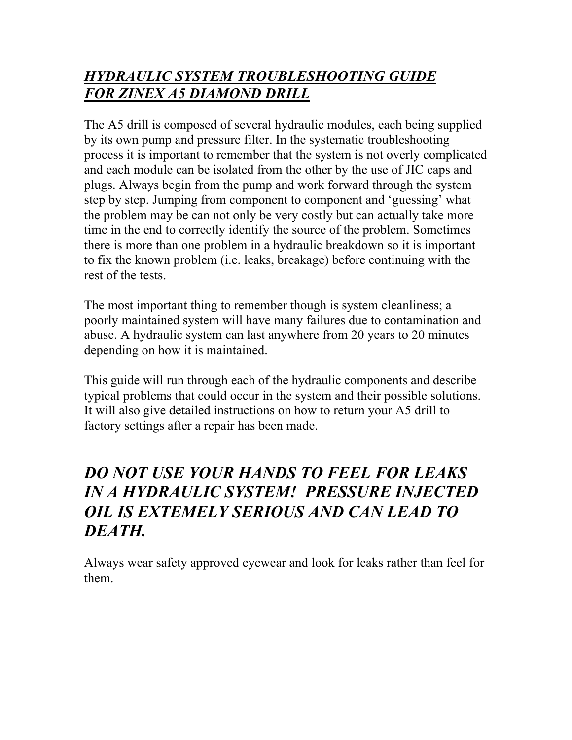# *HYDRAULIC SYSTEM TROUBLESHOOTING GUIDE FOR ZINEX A5 DIAMOND DRILL*

The A5 drill is composed of several hydraulic modules, each being supplied by its own pump and pressure filter. In the systematic troubleshooting process it is important to remember that the system is not overly complicated and each module can be isolated from the other by the use of JIC caps and plugs. Always begin from the pump and work forward through the system step by step. Jumping from component to component and 'guessing' what the problem may be can not only be very costly but can actually take more time in the end to correctly identify the source of the problem. Sometimes there is more than one problem in a hydraulic breakdown so it is important to fix the known problem (i.e. leaks, breakage) before continuing with the rest of the tests.

The most important thing to remember though is system cleanliness; a poorly maintained system will have many failures due to contamination and abuse. A hydraulic system can last anywhere from 20 years to 20 minutes depending on how it is maintained.

This guide will run through each of the hydraulic components and describe typical problems that could occur in the system and their possible solutions. It will also give detailed instructions on how to return your A5 drill to factory settings after a repair has been made.

# *DO NOT USE YOUR HANDS TO FEEL FOR LEAKS IN A HYDRAULIC SYSTEM! PRESSURE INJECTED OIL IS EXTEMELY SERIOUS AND CAN LEAD TO DEATH.*

Always wear safety approved eyewear and look for leaks rather than feel for them.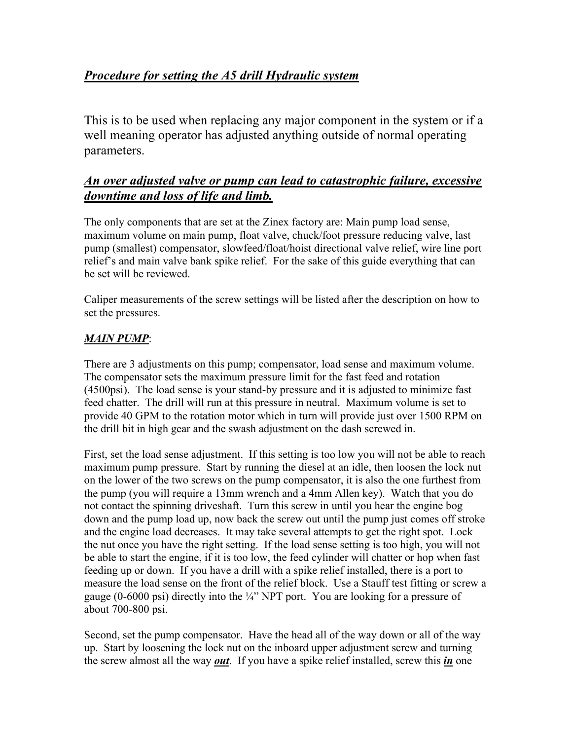## *Procedure for setting the A5 drill Hydraulic system*

This is to be used when replacing any major component in the system or if a well meaning operator has adjusted anything outside of normal operating parameters.

## *An over adjusted valve or pump can lead to catastrophic failure, excessive downtime and loss of life and limb.*

The only components that are set at the Zinex factory are: Main pump load sense, maximum volume on main pump, float valve, chuck/foot pressure reducing valve, last pump (smallest) compensator, slowfeed/float/hoist directional valve relief, wire line port relief's and main valve bank spike relief. For the sake of this guide everything that can be set will be reviewed.

Caliper measurements of the screw settings will be listed after the description on how to set the pressures.

## *MAIN PUMP*:

There are 3 adjustments on this pump; compensator, load sense and maximum volume. The compensator sets the maximum pressure limit for the fast feed and rotation (4500psi). The load sense is your stand-by pressure and it is adjusted to minimize fast feed chatter. The drill will run at this pressure in neutral. Maximum volume is set to provide 40 GPM to the rotation motor which in turn will provide just over 1500 RPM on the drill bit in high gear and the swash adjustment on the dash screwed in.

First, set the load sense adjustment. If this setting is too low you will not be able to reach maximum pump pressure. Start by running the diesel at an idle, then loosen the lock nut on the lower of the two screws on the pump compensator, it is also the one furthest from the pump (you will require a 13mm wrench and a 4mm Allen key). Watch that you do not contact the spinning driveshaft. Turn this screw in until you hear the engine bog down and the pump load up, now back the screw out until the pump just comes off stroke and the engine load decreases. It may take several attempts to get the right spot. Lock the nut once you have the right setting. If the load sense setting is too high, you will not be able to start the engine, if it is too low, the feed cylinder will chatter or hop when fast feeding up or down. If you have a drill with a spike relief installed, there is a port to measure the load sense on the front of the relief block. Use a Stauff test fitting or screw a gauge (0-6000 psi) directly into the  $\frac{1}{4}$ " NPT port. You are looking for a pressure of about 700-800 psi.

Second, set the pump compensator. Have the head all of the way down or all of the way up. Start by loosening the lock nut on the inboard upper adjustment screw and turning the screw almost all the way *out*. If you have a spike relief installed, screw this *in* one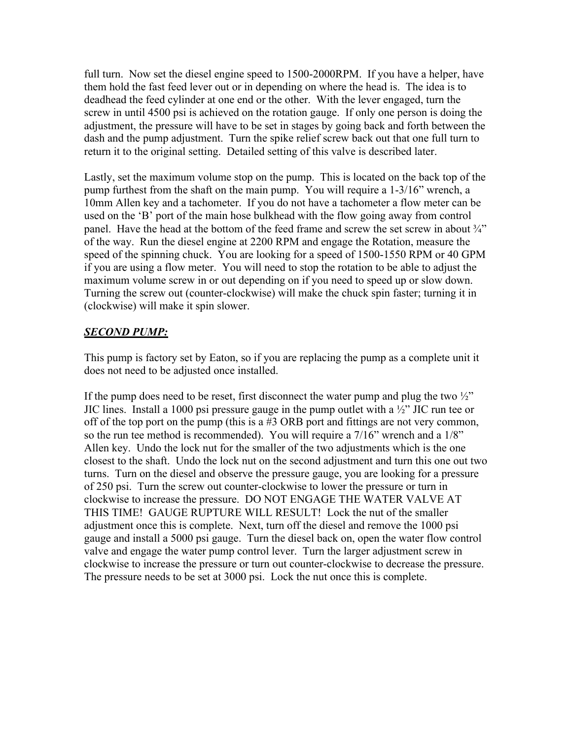full turn. Now set the diesel engine speed to 1500-2000RPM. If you have a helper, have them hold the fast feed lever out or in depending on where the head is. The idea is to deadhead the feed cylinder at one end or the other. With the lever engaged, turn the screw in until 4500 psi is achieved on the rotation gauge. If only one person is doing the adjustment, the pressure will have to be set in stages by going back and forth between the dash and the pump adjustment. Turn the spike relief screw back out that one full turn to return it to the original setting. Detailed setting of this valve is described later.

Lastly, set the maximum volume stop on the pump. This is located on the back top of the pump furthest from the shaft on the main pump. You will require a 1-3/16" wrench, a 10mm Allen key and a tachometer. If you do not have a tachometer a flow meter can be used on the 'B' port of the main hose bulkhead with the flow going away from control panel. Have the head at the bottom of the feed frame and screw the set screw in about  $\frac{3}{4}$ " of the way. Run the diesel engine at 2200 RPM and engage the Rotation, measure the speed of the spinning chuck. You are looking for a speed of 1500-1550 RPM or 40 GPM if you are using a flow meter. You will need to stop the rotation to be able to adjust the maximum volume screw in or out depending on if you need to speed up or slow down. Turning the screw out (counter-clockwise) will make the chuck spin faster; turning it in (clockwise) will make it spin slower.

#### *SECOND PUMP:*

This pump is factory set by Eaton, so if you are replacing the pump as a complete unit it does not need to be adjusted once installed.

If the pump does need to be reset, first disconnect the water pump and plug the two  $\frac{1}{2}$ " JIC lines. Install a 1000 psi pressure gauge in the pump outlet with a ½" JIC run tee or off of the top port on the pump (this is a #3 ORB port and fittings are not very common, so the run tee method is recommended). You will require a 7/16" wrench and a 1/8" Allen key. Undo the lock nut for the smaller of the two adjustments which is the one closest to the shaft. Undo the lock nut on the second adjustment and turn this one out two turns. Turn on the diesel and observe the pressure gauge, you are looking for a pressure of 250 psi. Turn the screw out counter-clockwise to lower the pressure or turn in clockwise to increase the pressure. DO NOT ENGAGE THE WATER VALVE AT THIS TIME! GAUGE RUPTURE WILL RESULT! Lock the nut of the smaller adjustment once this is complete. Next, turn off the diesel and remove the 1000 psi gauge and install a 5000 psi gauge. Turn the diesel back on, open the water flow control valve and engage the water pump control lever. Turn the larger adjustment screw in clockwise to increase the pressure or turn out counter-clockwise to decrease the pressure. The pressure needs to be set at 3000 psi. Lock the nut once this is complete.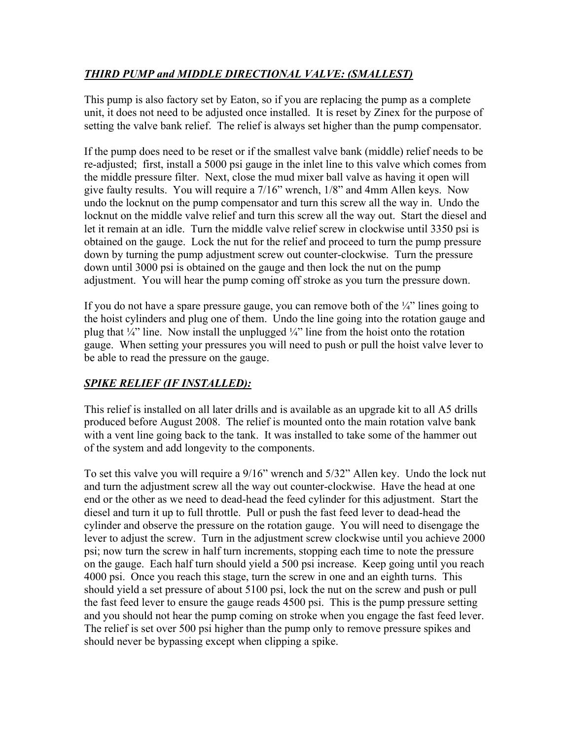## *THIRD PUMP and MIDDLE DIRECTIONAL VALVE: (SMALLEST)*

This pump is also factory set by Eaton, so if you are replacing the pump as a complete unit, it does not need to be adjusted once installed. It is reset by Zinex for the purpose of setting the valve bank relief. The relief is always set higher than the pump compensator.

If the pump does need to be reset or if the smallest valve bank (middle) relief needs to be re-adjusted; first, install a 5000 psi gauge in the inlet line to this valve which comes from the middle pressure filter. Next, close the mud mixer ball valve as having it open will give faulty results. You will require a 7/16" wrench, 1/8" and 4mm Allen keys. Now undo the locknut on the pump compensator and turn this screw all the way in. Undo the locknut on the middle valve relief and turn this screw all the way out. Start the diesel and let it remain at an idle. Turn the middle valve relief screw in clockwise until 3350 psi is obtained on the gauge. Lock the nut for the relief and proceed to turn the pump pressure down by turning the pump adjustment screw out counter-clockwise. Turn the pressure down until 3000 psi is obtained on the gauge and then lock the nut on the pump adjustment. You will hear the pump coming off stroke as you turn the pressure down.

If you do not have a spare pressure gauge, you can remove both of the  $\frac{1}{4}$ " lines going to the hoist cylinders and plug one of them. Undo the line going into the rotation gauge and plug that  $\frac{1}{4}$ " line. Now install the unplugged  $\frac{1}{4}$ " line from the hoist onto the rotation gauge. When setting your pressures you will need to push or pull the hoist valve lever to be able to read the pressure on the gauge.

## *SPIKE RELIEF (IF INSTALLED):*

This relief is installed on all later drills and is available as an upgrade kit to all A5 drills produced before August 2008. The relief is mounted onto the main rotation valve bank with a vent line going back to the tank. It was installed to take some of the hammer out of the system and add longevity to the components.

To set this valve you will require a 9/16" wrench and 5/32" Allen key. Undo the lock nut and turn the adjustment screw all the way out counter-clockwise. Have the head at one end or the other as we need to dead-head the feed cylinder for this adjustment. Start the diesel and turn it up to full throttle. Pull or push the fast feed lever to dead-head the cylinder and observe the pressure on the rotation gauge. You will need to disengage the lever to adjust the screw. Turn in the adjustment screw clockwise until you achieve 2000 psi; now turn the screw in half turn increments, stopping each time to note the pressure on the gauge. Each half turn should yield a 500 psi increase. Keep going until you reach 4000 psi. Once you reach this stage, turn the screw in one and an eighth turns. This should yield a set pressure of about 5100 psi, lock the nut on the screw and push or pull the fast feed lever to ensure the gauge reads 4500 psi. This is the pump pressure setting and you should not hear the pump coming on stroke when you engage the fast feed lever. The relief is set over 500 psi higher than the pump only to remove pressure spikes and should never be bypassing except when clipping a spike.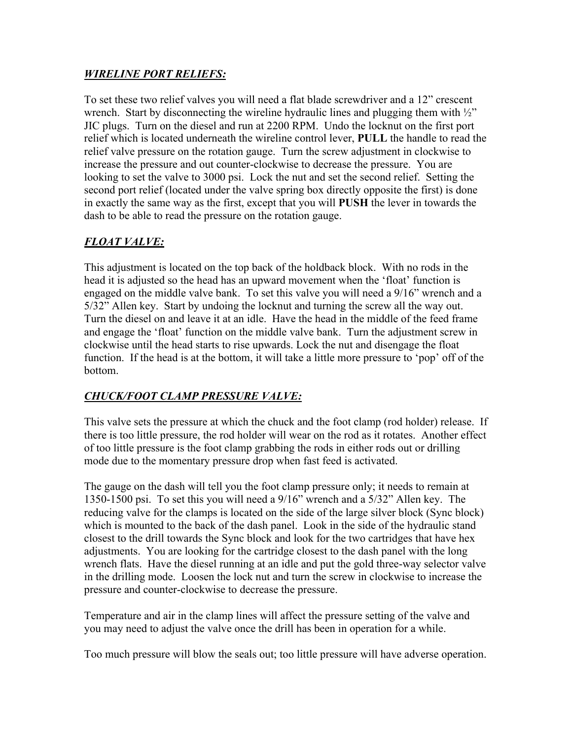### *WIRELINE PORT RELIEFS:*

To set these two relief valves you will need a flat blade screwdriver and a 12" crescent wrench. Start by disconnecting the wireline hydraulic lines and plugging them with  $\frac{1}{2}$ " JIC plugs. Turn on the diesel and run at 2200 RPM. Undo the locknut on the first port relief which is located underneath the wireline control lever, **PULL** the handle to read the relief valve pressure on the rotation gauge. Turn the screw adjustment in clockwise to increase the pressure and out counter-clockwise to decrease the pressure. You are looking to set the valve to 3000 psi. Lock the nut and set the second relief. Setting the second port relief (located under the valve spring box directly opposite the first) is done in exactly the same way as the first, except that you will **PUSH** the lever in towards the dash to be able to read the pressure on the rotation gauge.

## *FLOAT VALVE:*

This adjustment is located on the top back of the holdback block. With no rods in the head it is adjusted so the head has an upward movement when the 'float' function is engaged on the middle valve bank. To set this valve you will need a 9/16" wrench and a 5/32" Allen key. Start by undoing the locknut and turning the screw all the way out. Turn the diesel on and leave it at an idle. Have the head in the middle of the feed frame and engage the 'float' function on the middle valve bank. Turn the adjustment screw in clockwise until the head starts to rise upwards. Lock the nut and disengage the float function. If the head is at the bottom, it will take a little more pressure to 'pop' off of the bottom.

## *CHUCK/FOOT CLAMP PRESSURE VALVE:*

This valve sets the pressure at which the chuck and the foot clamp (rod holder) release. If there is too little pressure, the rod holder will wear on the rod as it rotates. Another effect of too little pressure is the foot clamp grabbing the rods in either rods out or drilling mode due to the momentary pressure drop when fast feed is activated.

The gauge on the dash will tell you the foot clamp pressure only; it needs to remain at 1350-1500 psi. To set this you will need a 9/16" wrench and a 5/32" Allen key. The reducing valve for the clamps is located on the side of the large silver block (Sync block) which is mounted to the back of the dash panel. Look in the side of the hydraulic stand closest to the drill towards the Sync block and look for the two cartridges that have hex adjustments. You are looking for the cartridge closest to the dash panel with the long wrench flats. Have the diesel running at an idle and put the gold three-way selector valve in the drilling mode. Loosen the lock nut and turn the screw in clockwise to increase the pressure and counter-clockwise to decrease the pressure.

Temperature and air in the clamp lines will affect the pressure setting of the valve and you may need to adjust the valve once the drill has been in operation for a while.

Too much pressure will blow the seals out; too little pressure will have adverse operation.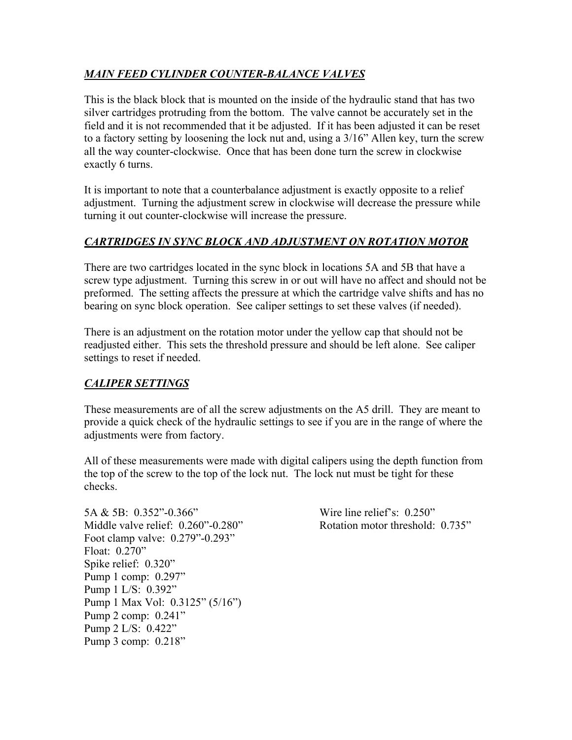## *MAIN FEED CYLINDER COUNTER-BALANCE VALVES*

This is the black block that is mounted on the inside of the hydraulic stand that has two silver cartridges protruding from the bottom. The valve cannot be accurately set in the field and it is not recommended that it be adjusted. If it has been adjusted it can be reset to a factory setting by loosening the lock nut and, using a 3/16" Allen key, turn the screw all the way counter-clockwise. Once that has been done turn the screw in clockwise exactly 6 turns.

It is important to note that a counterbalance adjustment is exactly opposite to a relief adjustment. Turning the adjustment screw in clockwise will decrease the pressure while turning it out counter-clockwise will increase the pressure.

## *CARTRIDGES IN SYNC BLOCK AND ADJUSTMENT ON ROTATION MOTOR*

There are two cartridges located in the sync block in locations 5A and 5B that have a screw type adjustment. Turning this screw in or out will have no affect and should not be preformed. The setting affects the pressure at which the cartridge valve shifts and has no bearing on sync block operation. See caliper settings to set these valves (if needed).

There is an adjustment on the rotation motor under the yellow cap that should not be readjusted either. This sets the threshold pressure and should be left alone. See caliper settings to reset if needed.

## *CALIPER SETTINGS*

These measurements are of all the screw adjustments on the A5 drill. They are meant to provide a quick check of the hydraulic settings to see if you are in the range of where the adjustments were from factory.

All of these measurements were made with digital calipers using the depth function from the top of the screw to the top of the lock nut. The lock nut must be tight for these checks.

5A & 5B: 0.352"-0.366" Wire line relief's: 0.250" Middle valve relief: 0.260"-0.280" Rotation motor threshold: 0.735" Foot clamp valve: 0.279"-0.293" Float: 0.270" Spike relief: 0.320" Pump 1 comp: 0.297" Pump 1 L/S: 0.392" Pump 1 Max Vol: 0.3125" (5/16") Pump 2 comp: 0.241" Pump 2 L/S: 0.422" Pump 3 comp: 0.218"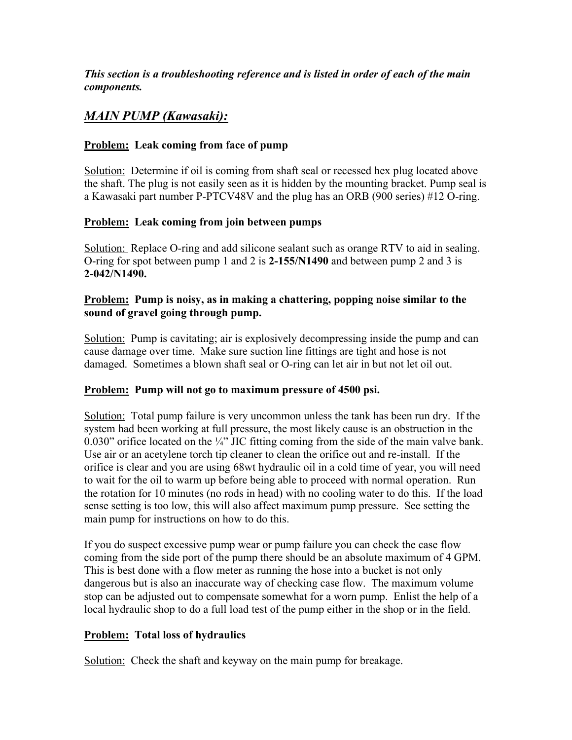*This section is a troubleshooting reference and is listed in order of each of the main components.*

## *MAIN PUMP (Kawasaki):*

#### **Problem: Leak coming from face of pump**

Solution: Determine if oil is coming from shaft seal or recessed hex plug located above the shaft. The plug is not easily seen as it is hidden by the mounting bracket. Pump seal is a Kawasaki part number P-PTCV48V and the plug has an ORB (900 series) #12 O-ring.

#### **Problem: Leak coming from join between pumps**

Solution: Replace O-ring and add silicone sealant such as orange RTV to aid in sealing. O-ring for spot between pump 1 and 2 is **2-155/N1490** and between pump 2 and 3 is **2-042/N1490.**

#### **Problem: Pump is noisy, as in making a chattering, popping noise similar to the sound of gravel going through pump.**

Solution: Pump is cavitating; air is explosively decompressing inside the pump and can cause damage over time. Make sure suction line fittings are tight and hose is not damaged. Sometimes a blown shaft seal or O-ring can let air in but not let oil out.

#### **Problem: Pump will not go to maximum pressure of 4500 psi.**

Solution: Total pump failure is very uncommon unless the tank has been run dry. If the system had been working at full pressure, the most likely cause is an obstruction in the 0.030" orifice located on the  $\frac{1}{4}$ " JIC fitting coming from the side of the main valve bank. Use air or an acetylene torch tip cleaner to clean the orifice out and re-install. If the orifice is clear and you are using 68wt hydraulic oil in a cold time of year, you will need to wait for the oil to warm up before being able to proceed with normal operation. Run the rotation for 10 minutes (no rods in head) with no cooling water to do this. If the load sense setting is too low, this will also affect maximum pump pressure. See setting the main pump for instructions on how to do this.

If you do suspect excessive pump wear or pump failure you can check the case flow coming from the side port of the pump there should be an absolute maximum of 4 GPM. This is best done with a flow meter as running the hose into a bucket is not only dangerous but is also an inaccurate way of checking case flow. The maximum volume stop can be adjusted out to compensate somewhat for a worn pump. Enlist the help of a local hydraulic shop to do a full load test of the pump either in the shop or in the field.

## **Problem: Total loss of hydraulics**

Solution: Check the shaft and keyway on the main pump for breakage.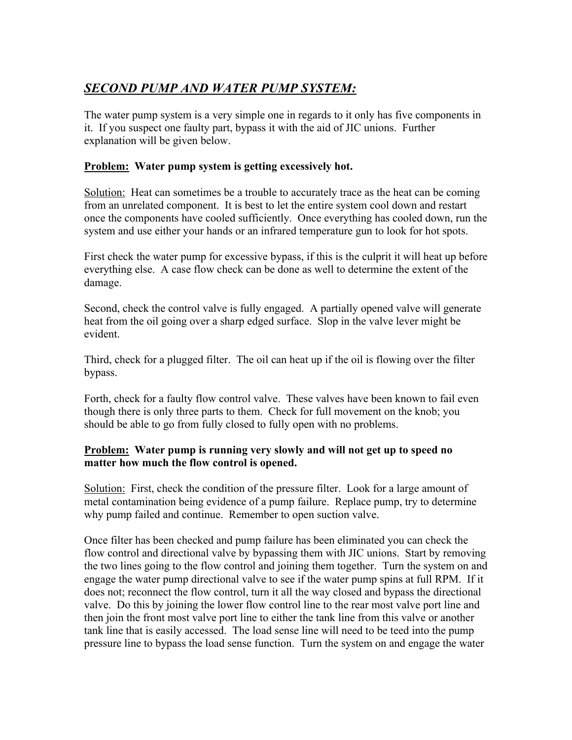## *SECOND PUMP AND WATER PUMP SYSTEM:*

The water pump system is a very simple one in regards to it only has five components in it. If you suspect one faulty part, bypass it with the aid of JIC unions. Further explanation will be given below.

### **Problem: Water pump system is getting excessively hot.**

Solution: Heat can sometimes be a trouble to accurately trace as the heat can be coming from an unrelated component. It is best to let the entire system cool down and restart once the components have cooled sufficiently. Once everything has cooled down, run the system and use either your hands or an infrared temperature gun to look for hot spots.

First check the water pump for excessive bypass, if this is the culprit it will heat up before everything else. A case flow check can be done as well to determine the extent of the damage.

Second, check the control valve is fully engaged. A partially opened valve will generate heat from the oil going over a sharp edged surface. Slop in the valve lever might be evident.

Third, check for a plugged filter. The oil can heat up if the oil is flowing over the filter bypass.

Forth, check for a faulty flow control valve. These valves have been known to fail even though there is only three parts to them. Check for full movement on the knob; you should be able to go from fully closed to fully open with no problems.

#### **Problem: Water pump is running very slowly and will not get up to speed no matter how much the flow control is opened.**

Solution: First, check the condition of the pressure filter. Look for a large amount of metal contamination being evidence of a pump failure. Replace pump, try to determine why pump failed and continue. Remember to open suction valve.

Once filter has been checked and pump failure has been eliminated you can check the flow control and directional valve by bypassing them with JIC unions. Start by removing the two lines going to the flow control and joining them together. Turn the system on and engage the water pump directional valve to see if the water pump spins at full RPM. If it does not; reconnect the flow control, turn it all the way closed and bypass the directional valve. Do this by joining the lower flow control line to the rear most valve port line and then join the front most valve port line to either the tank line from this valve or another tank line that is easily accessed. The load sense line will need to be teed into the pump pressure line to bypass the load sense function. Turn the system on and engage the water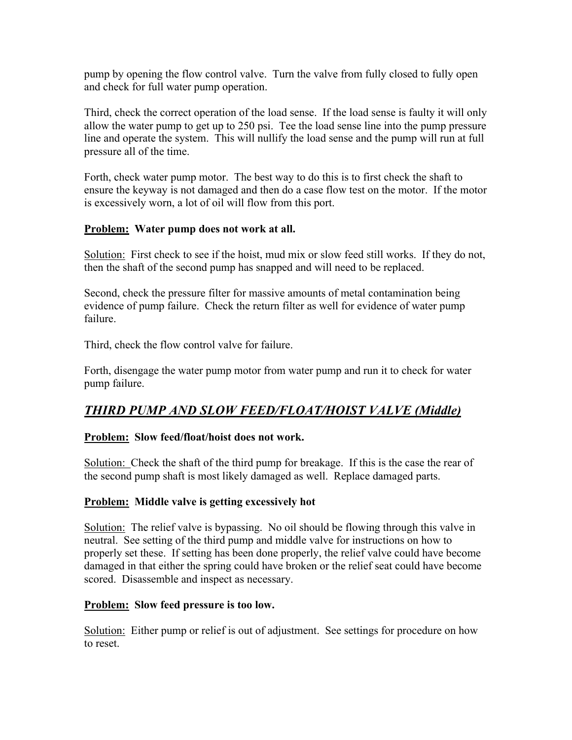pump by opening the flow control valve. Turn the valve from fully closed to fully open and check for full water pump operation.

Third, check the correct operation of the load sense. If the load sense is faulty it will only allow the water pump to get up to 250 psi. Tee the load sense line into the pump pressure line and operate the system. This will nullify the load sense and the pump will run at full pressure all of the time.

Forth, check water pump motor. The best way to do this is to first check the shaft to ensure the keyway is not damaged and then do a case flow test on the motor. If the motor is excessively worn, a lot of oil will flow from this port.

#### **Problem: Water pump does not work at all.**

Solution: First check to see if the hoist, mud mix or slow feed still works. If they do not, then the shaft of the second pump has snapped and will need to be replaced.

Second, check the pressure filter for massive amounts of metal contamination being evidence of pump failure. Check the return filter as well for evidence of water pump failure.

Third, check the flow control valve for failure.

Forth, disengage the water pump motor from water pump and run it to check for water pump failure.

## *THIRD PUMP AND SLOW FEED/FLOAT/HOIST VALVE (Middle)*

#### **Problem: Slow feed/float/hoist does not work.**

Solution: Check the shaft of the third pump for breakage. If this is the case the rear of the second pump shaft is most likely damaged as well. Replace damaged parts.

#### **Problem: Middle valve is getting excessively hot**

Solution: The relief valve is bypassing. No oil should be flowing through this valve in neutral. See setting of the third pump and middle valve for instructions on how to properly set these. If setting has been done properly, the relief valve could have become damaged in that either the spring could have broken or the relief seat could have become scored. Disassemble and inspect as necessary.

#### **Problem: Slow feed pressure is too low.**

Solution: Either pump or relief is out of adjustment. See settings for procedure on how to reset.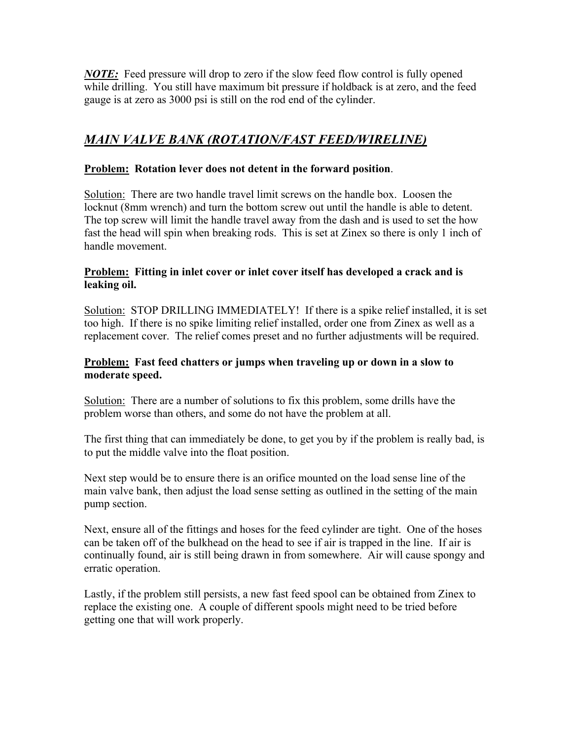*NOTE:* Feed pressure will drop to zero if the slow feed flow control is fully opened while drilling. You still have maximum bit pressure if holdback is at zero, and the feed gauge is at zero as 3000 psi is still on the rod end of the cylinder.

## *MAIN VALVE BANK (ROTATION/FAST FEED/WIRELINE)*

#### **Problem: Rotation lever does not detent in the forward position**.

Solution: There are two handle travel limit screws on the handle box. Loosen the locknut (8mm wrench) and turn the bottom screw out until the handle is able to detent. The top screw will limit the handle travel away from the dash and is used to set the how fast the head will spin when breaking rods. This is set at Zinex so there is only 1 inch of handle movement.

#### **Problem: Fitting in inlet cover or inlet cover itself has developed a crack and is leaking oil.**

Solution: STOP DRILLING IMMEDIATELY! If there is a spike relief installed, it is set too high. If there is no spike limiting relief installed, order one from Zinex as well as a replacement cover. The relief comes preset and no further adjustments will be required.

#### **Problem: Fast feed chatters or jumps when traveling up or down in a slow to moderate speed.**

Solution: There are a number of solutions to fix this problem, some drills have the problem worse than others, and some do not have the problem at all.

The first thing that can immediately be done, to get you by if the problem is really bad, is to put the middle valve into the float position.

Next step would be to ensure there is an orifice mounted on the load sense line of the main valve bank, then adjust the load sense setting as outlined in the setting of the main pump section.

Next, ensure all of the fittings and hoses for the feed cylinder are tight. One of the hoses can be taken off of the bulkhead on the head to see if air is trapped in the line. If air is continually found, air is still being drawn in from somewhere. Air will cause spongy and erratic operation.

Lastly, if the problem still persists, a new fast feed spool can be obtained from Zinex to replace the existing one. A couple of different spools might need to be tried before getting one that will work properly.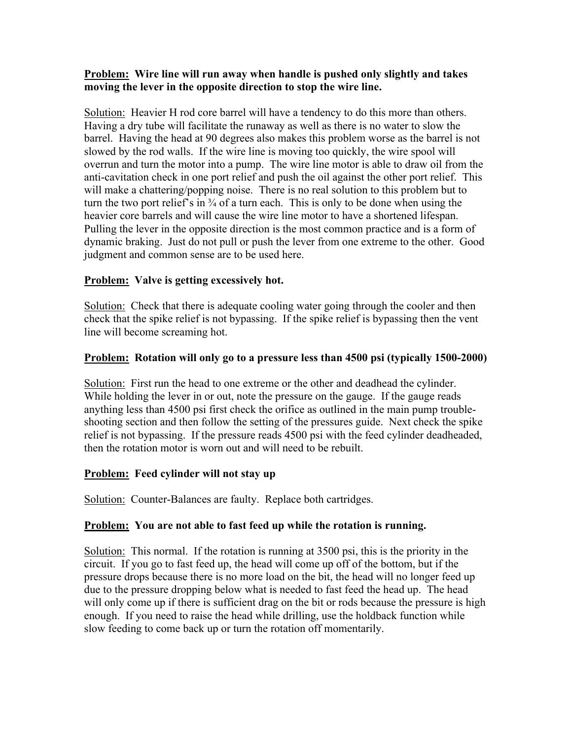#### **Problem: Wire line will run away when handle is pushed only slightly and takes moving the lever in the opposite direction to stop the wire line.**

Solution: Heavier H rod core barrel will have a tendency to do this more than others. Having a dry tube will facilitate the runaway as well as there is no water to slow the barrel. Having the head at 90 degrees also makes this problem worse as the barrel is not slowed by the rod walls. If the wire line is moving too quickly, the wire spool will overrun and turn the motor into a pump. The wire line motor is able to draw oil from the anti-cavitation check in one port relief and push the oil against the other port relief. This will make a chattering/popping noise. There is no real solution to this problem but to turn the two port relief's in  $\frac{3}{4}$  of a turn each. This is only to be done when using the heavier core barrels and will cause the wire line motor to have a shortened lifespan. Pulling the lever in the opposite direction is the most common practice and is a form of dynamic braking. Just do not pull or push the lever from one extreme to the other. Good judgment and common sense are to be used here.

#### **Problem: Valve is getting excessively hot.**

Solution: Check that there is adequate cooling water going through the cooler and then check that the spike relief is not bypassing. If the spike relief is bypassing then the vent line will become screaming hot.

#### **Problem: Rotation will only go to a pressure less than 4500 psi (typically 1500-2000)**

Solution: First run the head to one extreme or the other and deadhead the cylinder. While holding the lever in or out, note the pressure on the gauge. If the gauge reads anything less than 4500 psi first check the orifice as outlined in the main pump troubleshooting section and then follow the setting of the pressures guide. Next check the spike relief is not bypassing. If the pressure reads 4500 psi with the feed cylinder deadheaded, then the rotation motor is worn out and will need to be rebuilt.

#### **Problem: Feed cylinder will not stay up**

Solution: Counter-Balances are faulty. Replace both cartridges.

#### **Problem: You are not able to fast feed up while the rotation is running.**

Solution: This normal. If the rotation is running at 3500 psi, this is the priority in the circuit. If you go to fast feed up, the head will come up off of the bottom, but if the pressure drops because there is no more load on the bit, the head will no longer feed up due to the pressure dropping below what is needed to fast feed the head up. The head will only come up if there is sufficient drag on the bit or rods because the pressure is high enough. If you need to raise the head while drilling, use the holdback function while slow feeding to come back up or turn the rotation off momentarily.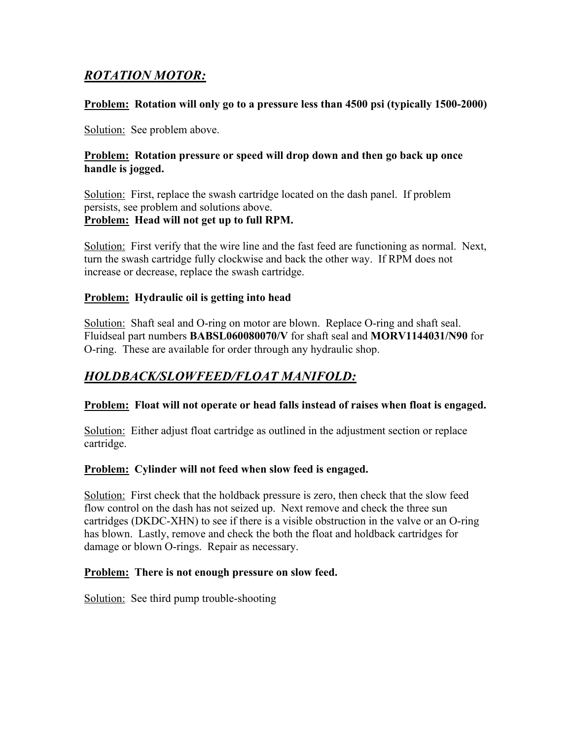## *ROTATION MOTOR:*

#### **Problem: Rotation will only go to a pressure less than 4500 psi (typically 1500-2000)**

Solution: See problem above.

#### **Problem: Rotation pressure or speed will drop down and then go back up once handle is jogged.**

Solution: First, replace the swash cartridge located on the dash panel. If problem persists, see problem and solutions above. **Problem: Head will not get up to full RPM.**

Solution: First verify that the wire line and the fast feed are functioning as normal. Next, turn the swash cartridge fully clockwise and back the other way. If RPM does not increase or decrease, replace the swash cartridge.

#### **Problem: Hydraulic oil is getting into head**

Solution: Shaft seal and O-ring on motor are blown. Replace O-ring and shaft seal. Fluidseal part numbers **BABSL060080070/V** for shaft seal and **MORV1144031/N90** for O-ring. These are available for order through any hydraulic shop.

## *HOLDBACK/SLOWFEED/FLOAT MANIFOLD:*

#### **Problem: Float will not operate or head falls instead of raises when float is engaged.**

Solution: Either adjust float cartridge as outlined in the adjustment section or replace cartridge.

#### **Problem: Cylinder will not feed when slow feed is engaged.**

Solution: First check that the holdback pressure is zero, then check that the slow feed flow control on the dash has not seized up. Next remove and check the three sun cartridges (DKDC-XHN) to see if there is a visible obstruction in the valve or an O-ring has blown. Lastly, remove and check the both the float and holdback cartridges for damage or blown O-rings. Repair as necessary.

#### **Problem: There is not enough pressure on slow feed.**

Solution: See third pump trouble-shooting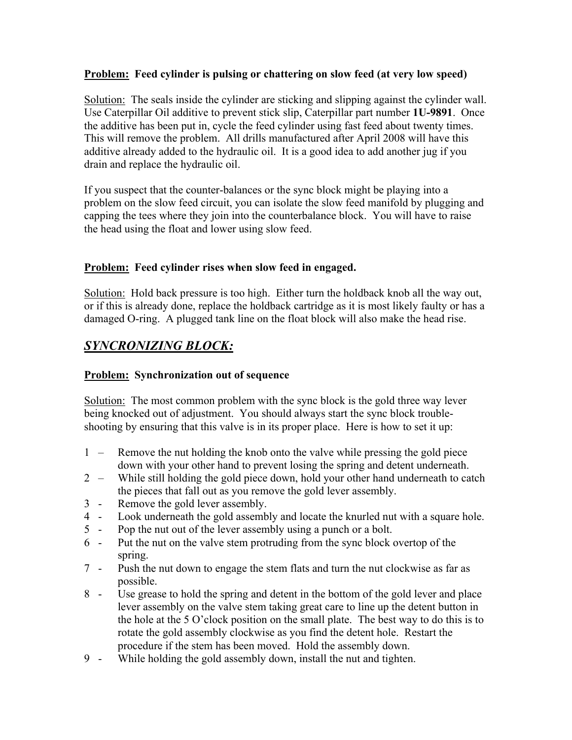#### **Problem: Feed cylinder is pulsing or chattering on slow feed (at very low speed)**

Solution: The seals inside the cylinder are sticking and slipping against the cylinder wall. Use Caterpillar Oil additive to prevent stick slip, Caterpillar part number **1U-9891**. Once the additive has been put in, cycle the feed cylinder using fast feed about twenty times. This will remove the problem. All drills manufactured after April 2008 will have this additive already added to the hydraulic oil. It is a good idea to add another jug if you drain and replace the hydraulic oil.

If you suspect that the counter-balances or the sync block might be playing into a problem on the slow feed circuit, you can isolate the slow feed manifold by plugging and capping the tees where they join into the counterbalance block. You will have to raise the head using the float and lower using slow feed.

## **Problem: Feed cylinder rises when slow feed in engaged.**

Solution: Hold back pressure is too high. Either turn the holdback knob all the way out, or if this is already done, replace the holdback cartridge as it is most likely faulty or has a damaged O-ring. A plugged tank line on the float block will also make the head rise.

## *SYNCRONIZING BLOCK:*

## **Problem: Synchronization out of sequence**

Solution: The most common problem with the sync block is the gold three way lever being knocked out of adjustment. You should always start the sync block troubleshooting by ensuring that this valve is in its proper place. Here is how to set it up:

- 1 Remove the nut holding the knob onto the valve while pressing the gold piece down with your other hand to prevent losing the spring and detent underneath.
- 2 While still holding the gold piece down, hold your other hand underneath to catch the pieces that fall out as you remove the gold lever assembly.
- 3 Remove the gold lever assembly.
- 4 Look underneath the gold assembly and locate the knurled nut with a square hole.
- 5 Pop the nut out of the lever assembly using a punch or a bolt.
- 6 Put the nut on the valve stem protruding from the sync block overtop of the spring.
- 7 Push the nut down to engage the stem flats and turn the nut clockwise as far as possible.
- 8 Use grease to hold the spring and detent in the bottom of the gold lever and place lever assembly on the valve stem taking great care to line up the detent button in the hole at the 5 O'clock position on the small plate. The best way to do this is to rotate the gold assembly clockwise as you find the detent hole. Restart the procedure if the stem has been moved. Hold the assembly down.
- 9 While holding the gold assembly down, install the nut and tighten.